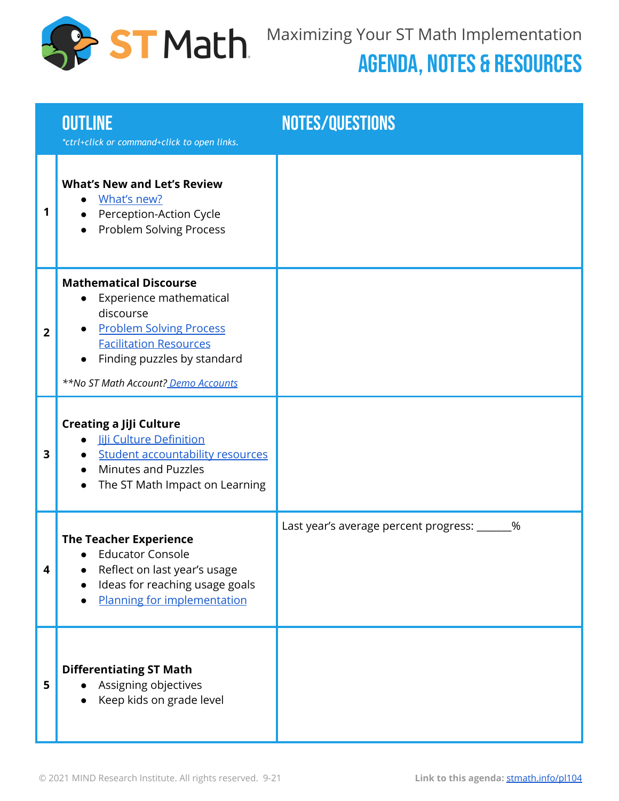

## ST Math. Maximizing Your ST Math Implementation AGENDA, NOTES & RESOURCES

|                | <b>OUTLINE</b><br>*ctrl+click or command+click to open links.                                                                                                                                                                                         | NOTES/QUESTIONS                                  |
|----------------|-------------------------------------------------------------------------------------------------------------------------------------------------------------------------------------------------------------------------------------------------------|--------------------------------------------------|
| 1              | <b>What's New and Let's Review</b><br>What's new?<br>$\bullet$<br>Perception-Action Cycle<br>Problem Solving Process                                                                                                                                  |                                                  |
| $\overline{2}$ | <b>Mathematical Discourse</b><br>Experience mathematical<br>$\bullet$<br>discourse<br><b>Problem Solving Process</b><br>$\bullet$<br><b>Facilitation Resources</b><br>Finding puzzles by standard<br>$\bullet$<br>**No ST Math Account? Demo Accounts |                                                  |
| 3              | <b>Creating a JiJi Culture</b><br><b>Jili Culture Definition</b><br>Student accountability resources<br><b>Minutes and Puzzles</b><br>The ST Math Impact on Learning                                                                                  |                                                  |
| 4              | <b>The Teacher Experience</b><br><b>Educator Console</b><br>Reflect on last year's usage<br>Ideas for reaching usage goals<br>Planning for implementation                                                                                             | Last year's average percent progress: _____<br>% |
| 5              | <b>Differentiating ST Math</b><br>Assigning objectives<br>Keep kids on grade level                                                                                                                                                                    |                                                  |